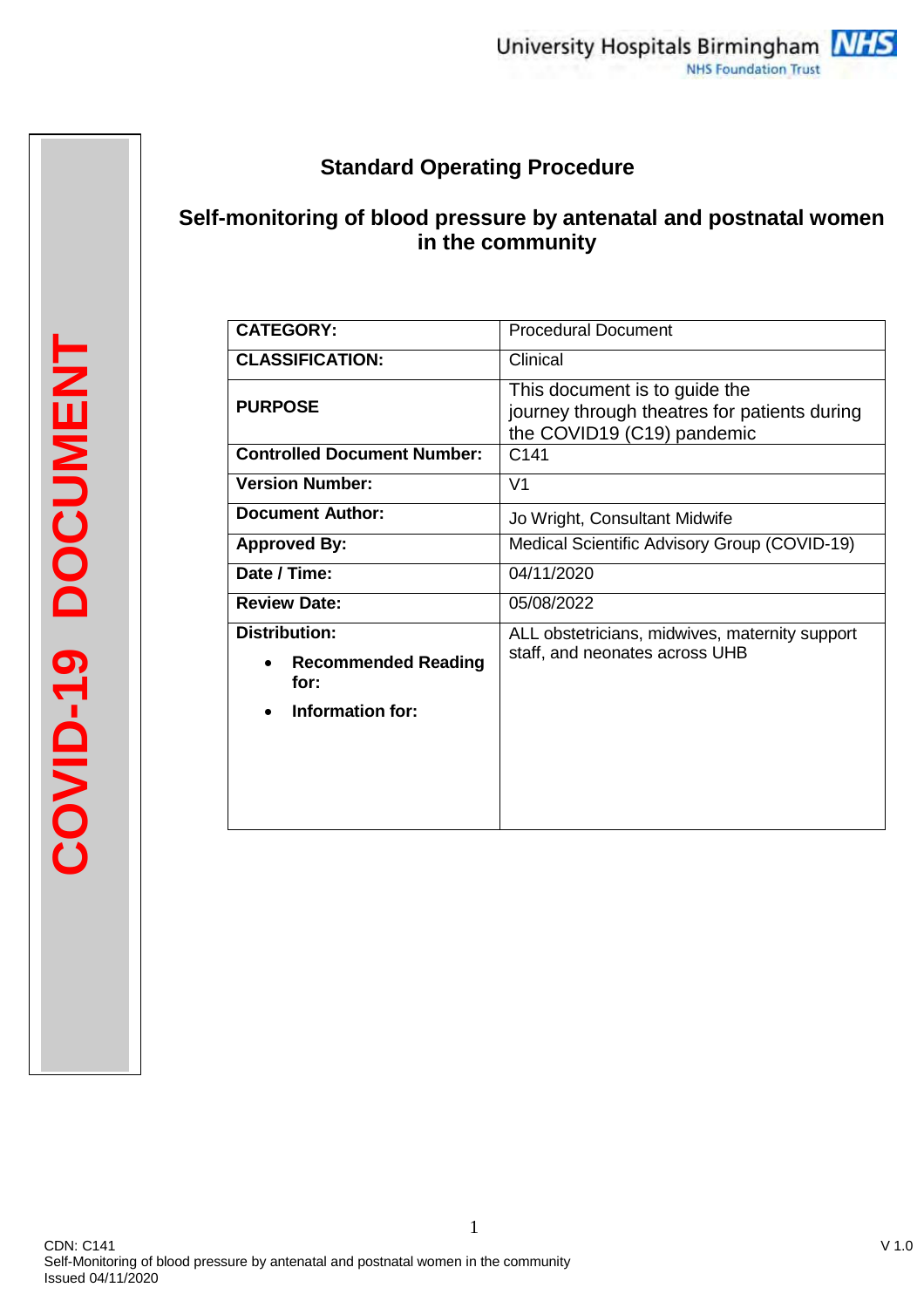# **Standard Operating Procedure**

# **Self-monitoring of blood pressure by antenatal and postnatal women in the community**

| <b>CATEGORY:</b>                                                               | <b>Procedural Document</b>                                                                                  |
|--------------------------------------------------------------------------------|-------------------------------------------------------------------------------------------------------------|
| <b>CLASSIFICATION:</b>                                                         | Clinical                                                                                                    |
| <b>PURPOSE</b>                                                                 | This document is to guide the<br>journey through theatres for patients during<br>the COVID19 (C19) pandemic |
| <b>Controlled Document Number:</b>                                             | C <sub>141</sub>                                                                                            |
| <b>Version Number:</b>                                                         | V <sub>1</sub>                                                                                              |
| Document Author:                                                               | Jo Wright, Consultant Midwife                                                                               |
| <b>Approved By:</b>                                                            | Medical Scientific Advisory Group (COVID-19)                                                                |
| Date / Time:                                                                   | 04/11/2020                                                                                                  |
| <b>Review Date:</b>                                                            | 05/08/2022                                                                                                  |
| <b>Distribution:</b><br><b>Recommended Reading</b><br>for:<br>Information for: | ALL obstetricians, midwives, maternity support<br>staff, and neonates across UHB                            |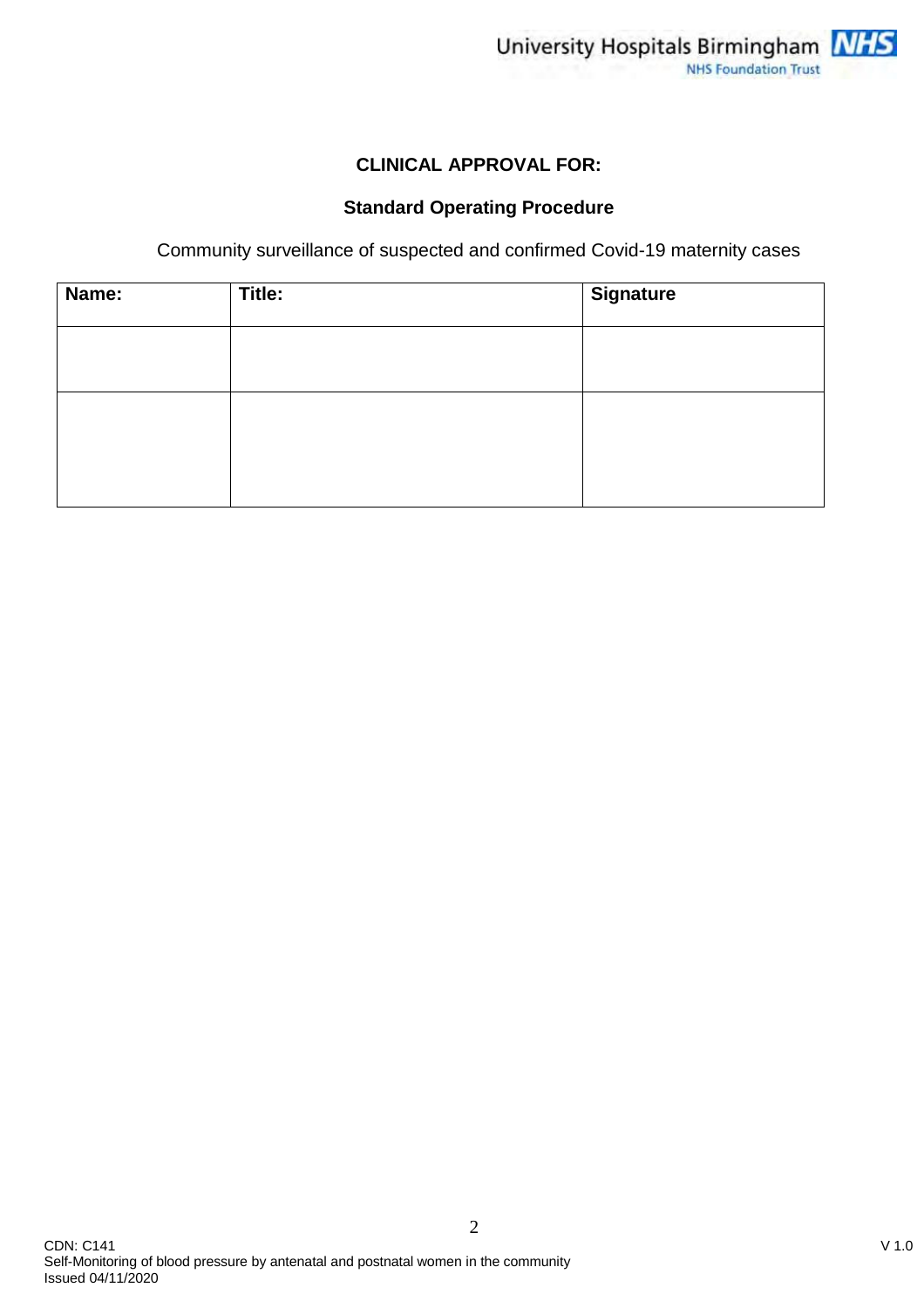

## **CLINICAL APPROVAL FOR:**

## **Standard Operating Procedure**

Community surveillance of suspected and confirmed Covid-19 maternity cases

| Name: | Title: | <b>Signature</b> |
|-------|--------|------------------|
|       |        |                  |
|       |        |                  |
|       |        |                  |
|       |        |                  |
|       |        |                  |
|       |        |                  |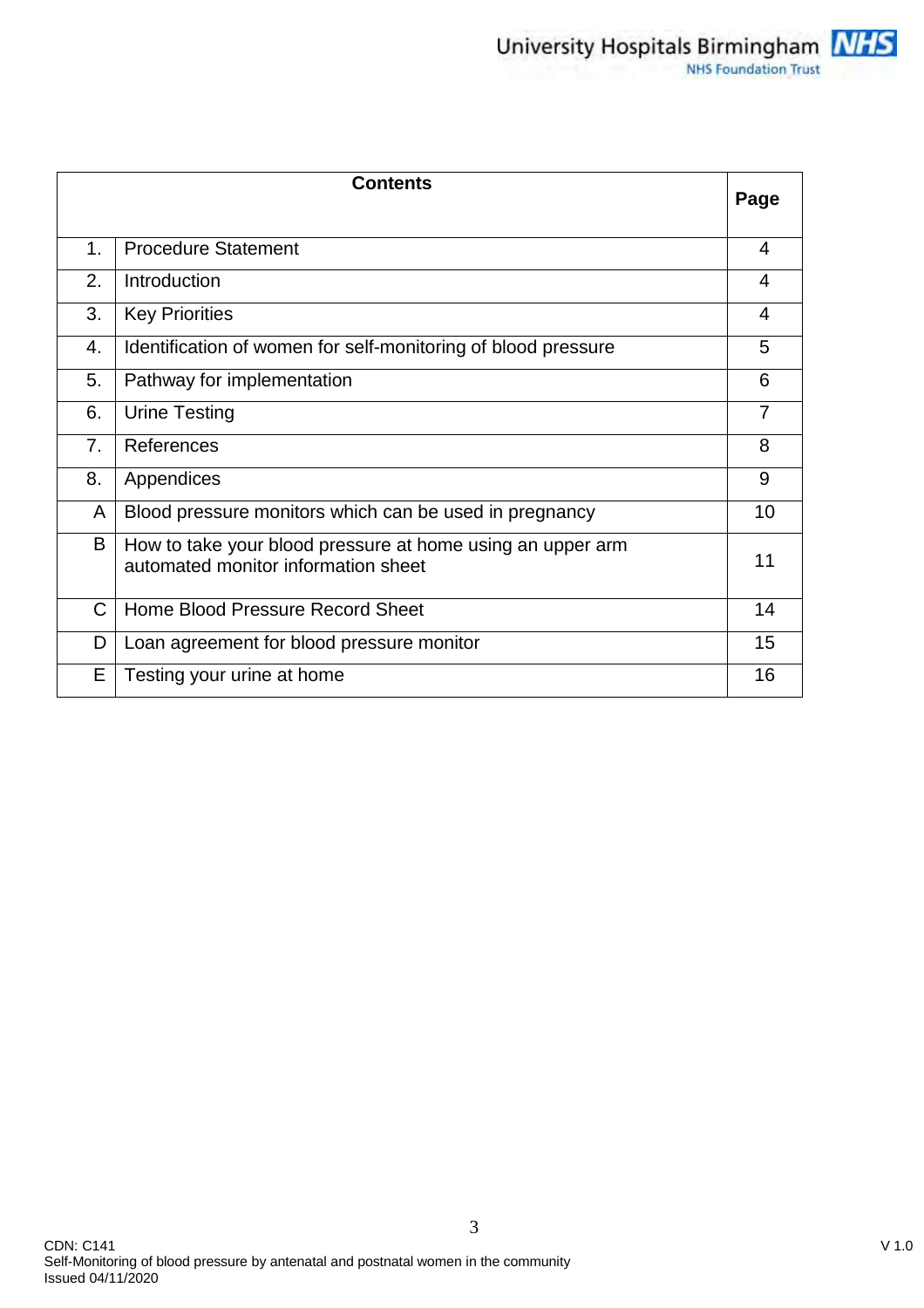|    | <b>Contents</b>                                                                                   | Page           |
|----|---------------------------------------------------------------------------------------------------|----------------|
|    |                                                                                                   |                |
| 1. | <b>Procedure Statement</b>                                                                        | 4              |
| 2. | Introduction                                                                                      | 4              |
| 3. | <b>Key Priorities</b>                                                                             | 4              |
| 4. | Identification of women for self-monitoring of blood pressure                                     | 5              |
| 5. | Pathway for implementation                                                                        | 6              |
| 6. | <b>Urine Testing</b>                                                                              | $\overline{7}$ |
| 7. | References                                                                                        | 8              |
| 8. | Appendices                                                                                        | 9              |
| A  | Blood pressure monitors which can be used in pregnancy                                            | 10             |
| B  | How to take your blood pressure at home using an upper arm<br>automated monitor information sheet | 11             |
| C  | Home Blood Pressure Record Sheet                                                                  | 14             |
| D  | Loan agreement for blood pressure monitor                                                         | 15             |
| Е  | Testing your urine at home                                                                        | 16             |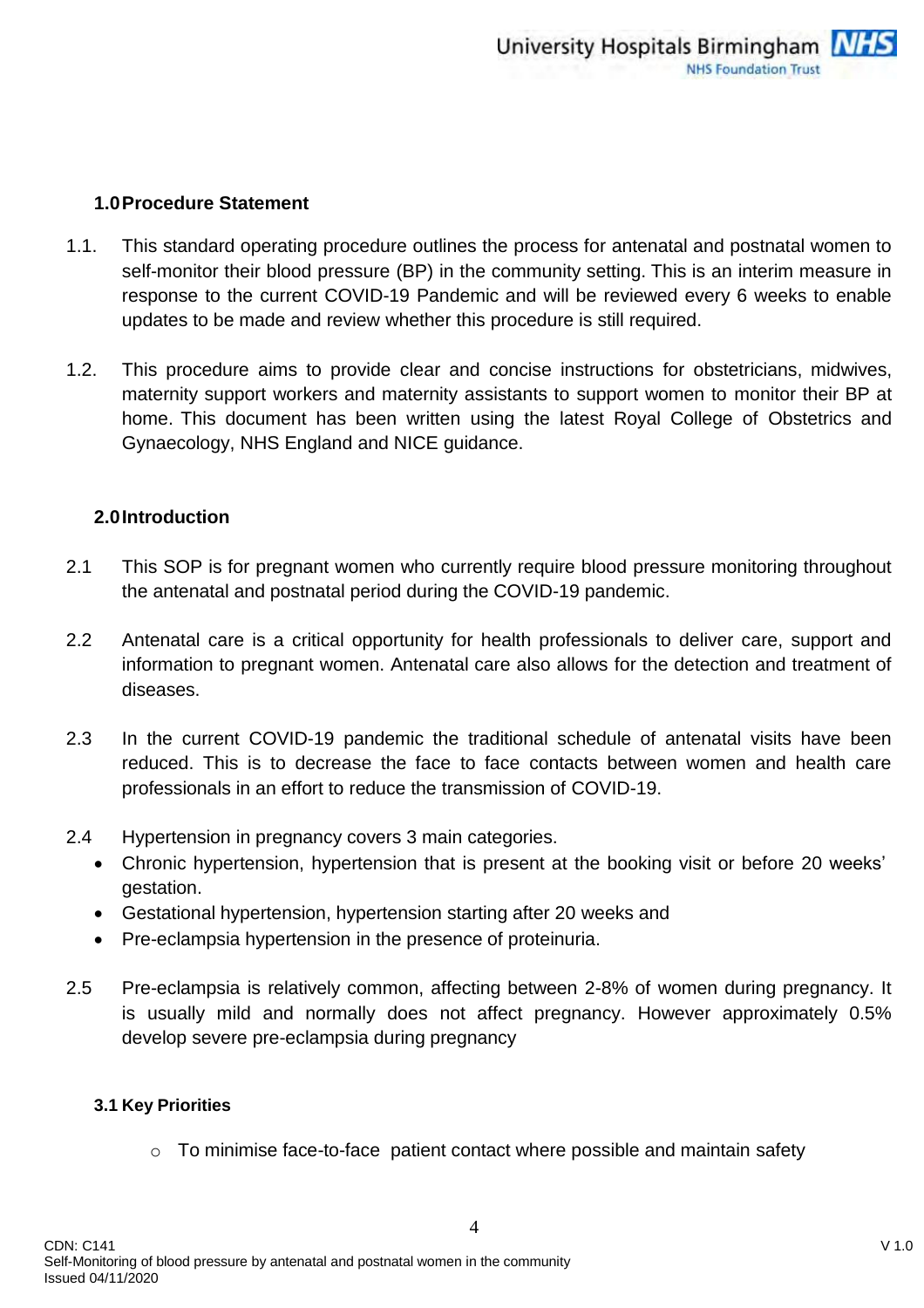## **1.0Procedure Statement**

- 1.1. This standard operating procedure outlines the process for antenatal and postnatal women to self-monitor their blood pressure (BP) in the community setting. This is an interim measure in response to the current COVID-19 Pandemic and will be reviewed every 6 weeks to enable updates to be made and review whether this procedure is still required.
- 1.2. This procedure aims to provide clear and concise instructions for obstetricians, midwives, maternity support workers and maternity assistants to support women to monitor their BP at home. This document has been written using the latest Royal College of Obstetrics and Gynaecology, NHS England and NICE guidance.

## **2.0Introduction**

- 2.1 This SOP is for pregnant women who currently require blood pressure monitoring throughout the antenatal and postnatal period during the COVID-19 pandemic.
- 2.2 Antenatal care is a critical opportunity for health professionals to deliver care, support and information to pregnant women. Antenatal care also allows for the detection and treatment of diseases.
- 2.3 In the current COVID-19 pandemic the traditional schedule of antenatal visits have been reduced. This is to decrease the face to face contacts between women and health care professionals in an effort to reduce the transmission of COVID-19.
- 2.4 Hypertension in pregnancy covers 3 main categories.
	- Chronic hypertension, hypertension that is present at the booking visit or before 20 weeks' gestation.
	- Gestational hypertension, hypertension starting after 20 weeks and
	- Pre-eclampsia hypertension in the presence of proteinuria.
- 2.5 Pre-eclampsia is relatively common, affecting between 2-8% of women during pregnancy. It is usually mild and normally does not affect pregnancy. However approximately 0.5% develop severe pre-eclampsia during pregnancy

#### **3.1 Key Priorities**

o To minimise face-to-face patient contact where possible and maintain safety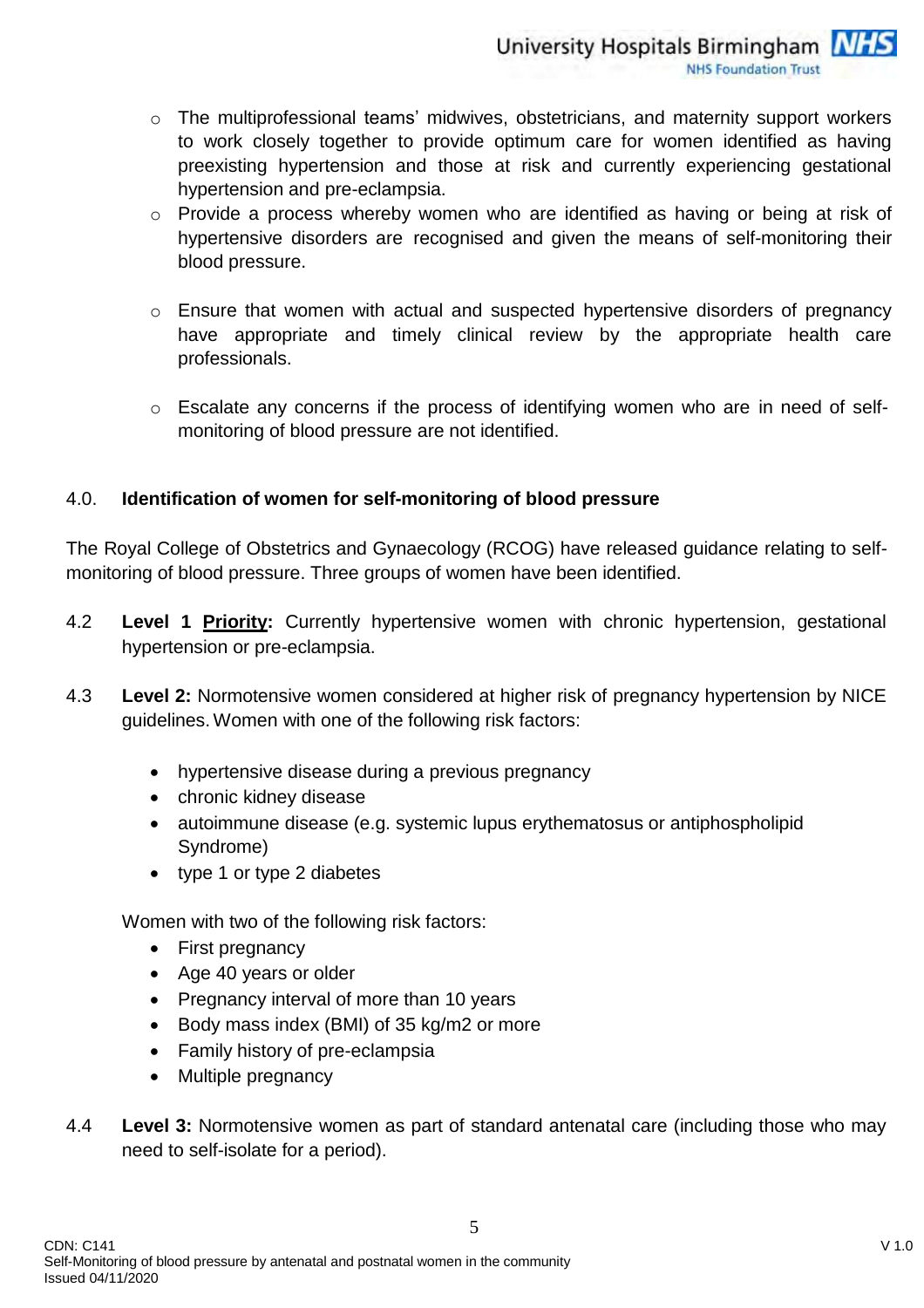- o The multiprofessional teams' midwives, obstetricians, and maternity support workers to work closely together to provide optimum care for women identified as having preexisting hypertension and those at risk and currently experiencing gestational hypertension and pre-eclampsia.
- o Provide a process whereby women who are identified as having or being at risk of hypertensive disorders are recognised and given the means of self-monitoring their blood pressure.
- o Ensure that women with actual and suspected hypertensive disorders of pregnancy have appropriate and timely clinical review by the appropriate health care professionals.
- o Escalate any concerns if the process of identifying women who are in need of selfmonitoring of blood pressure are not identified.

## 4.0. **Identification of women for self-monitoring of blood pressure**

The Royal College of Obstetrics and Gynaecology (RCOG) have released guidance relating to selfmonitoring of blood pressure. Three groups of women have been identified.

- 4.2 **Level 1 Priority:** Currently hypertensive women with chronic hypertension, gestational hypertension or pre-eclampsia.
- 4.3 **Level 2:** Normotensive women considered at higher risk of pregnancy hypertension by NICE guidelines.Women with one of the following risk factors:
	- hypertensive disease during a previous pregnancy
	- chronic kidney disease
	- autoimmune disease (e.g. systemic lupus erythematosus or antiphospholipid Syndrome)
	- type 1 or type 2 diabetes

Women with two of the following risk factors:

- First pregnancy
- Age 40 years or older
- Pregnancy interval of more than 10 years
- Body mass index (BMI) of 35 kg/m2 or more
- Family history of pre-eclampsia
- Multiple pregnancy
- 4.4 **Level 3:** Normotensive women as part of standard antenatal care (including those who may need to self-isolate for a period).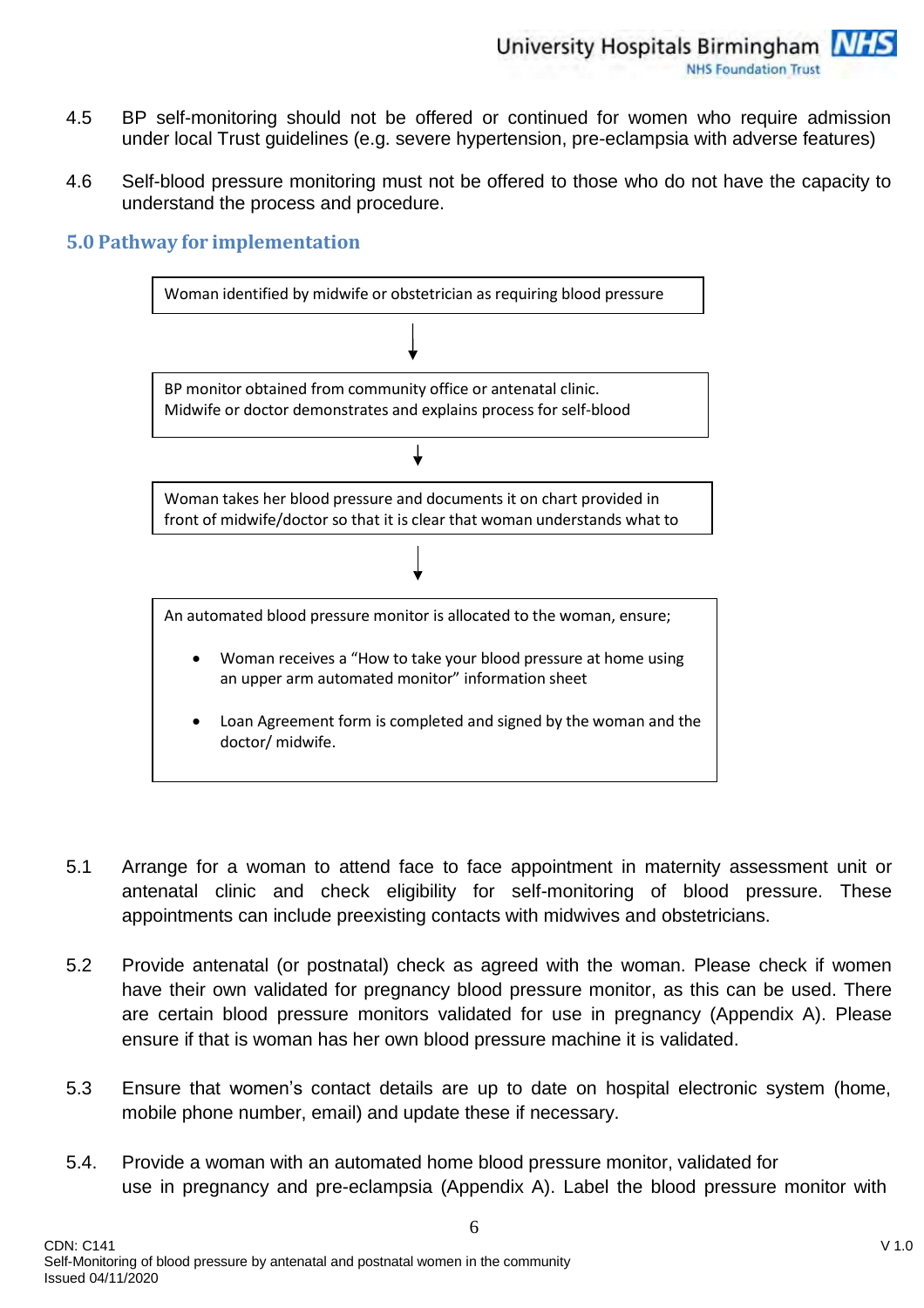- 4.5 BP self-monitoring should not be offered or continued for women who require admission under local Trust guidelines (e.g. severe hypertension, pre-eclampsia with adverse features)
- 4.6 Self-blood pressure monitoring must not be offered to those who do not have the capacity to understand the process and procedure.

## **5.0 Pathway for implementation**



- 5.1 Arrange for a woman to attend face to face appointment in maternity assessment unit or antenatal clinic and check eligibility for self-monitoring of blood pressure. These appointments can include preexisting contacts with midwives and obstetricians.
- 5.2 Provide antenatal (or postnatal) check as agreed with the woman. Please check if women have their own validated for pregnancy blood pressure monitor, as this can be used. There are certain blood pressure monitors validated for use in pregnancy (Appendix A). Please ensure if that is woman has her own blood pressure machine it is validated.
- 5.3 Ensure that women's contact details are up to date on hospital electronic system (home, mobile phone number, email) and update these if necessary.
- 5.4. Provide a woman with an automated home blood pressure monitor, validated for use in pregnancy and pre-eclampsia (Appendix A). Label the blood pressure monitor with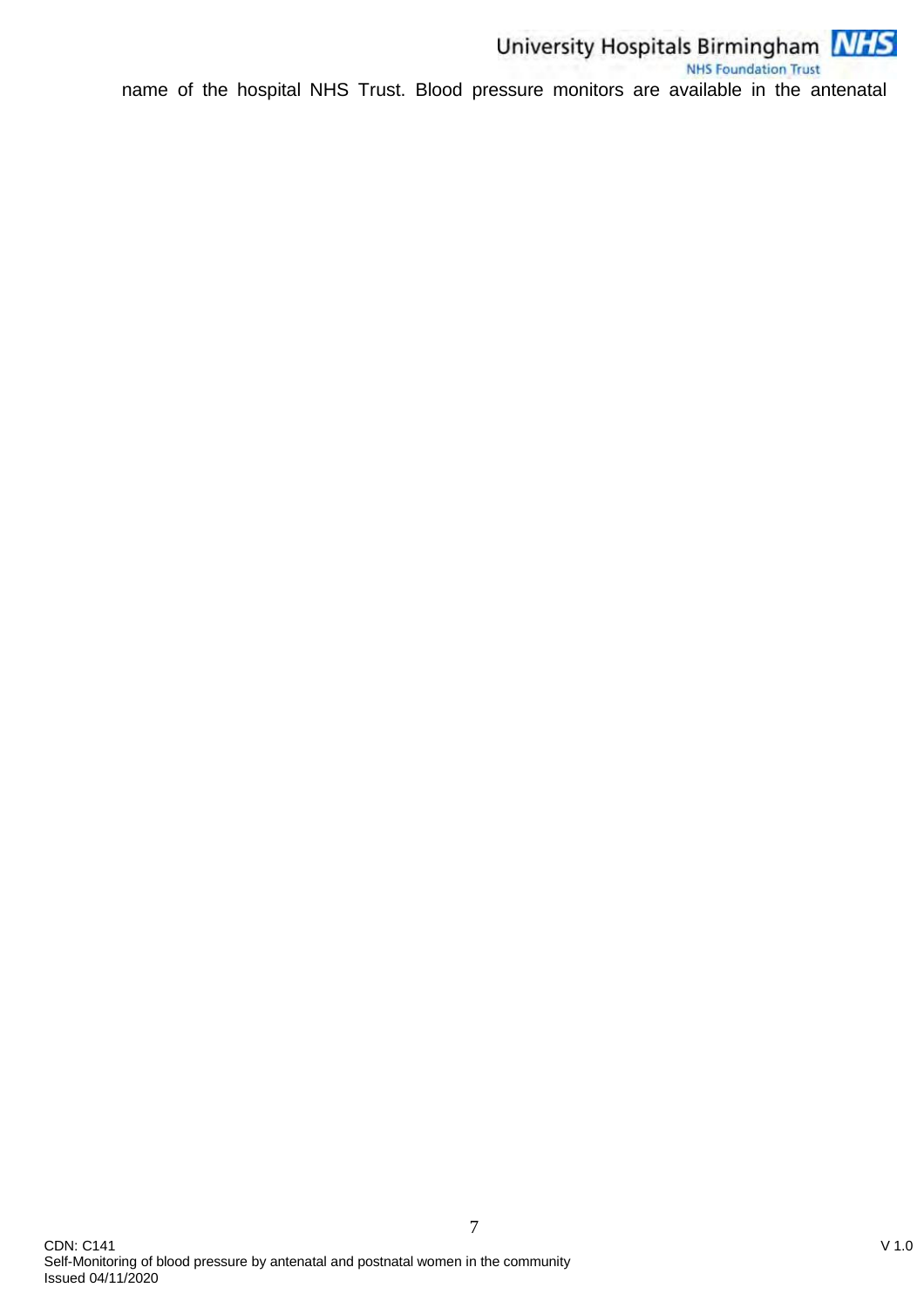

University Hospitals Birmingham<br>NHS Foundation Trust<br>name of the hospital NHS Trust. Blood pressure monitors are available in the antenatal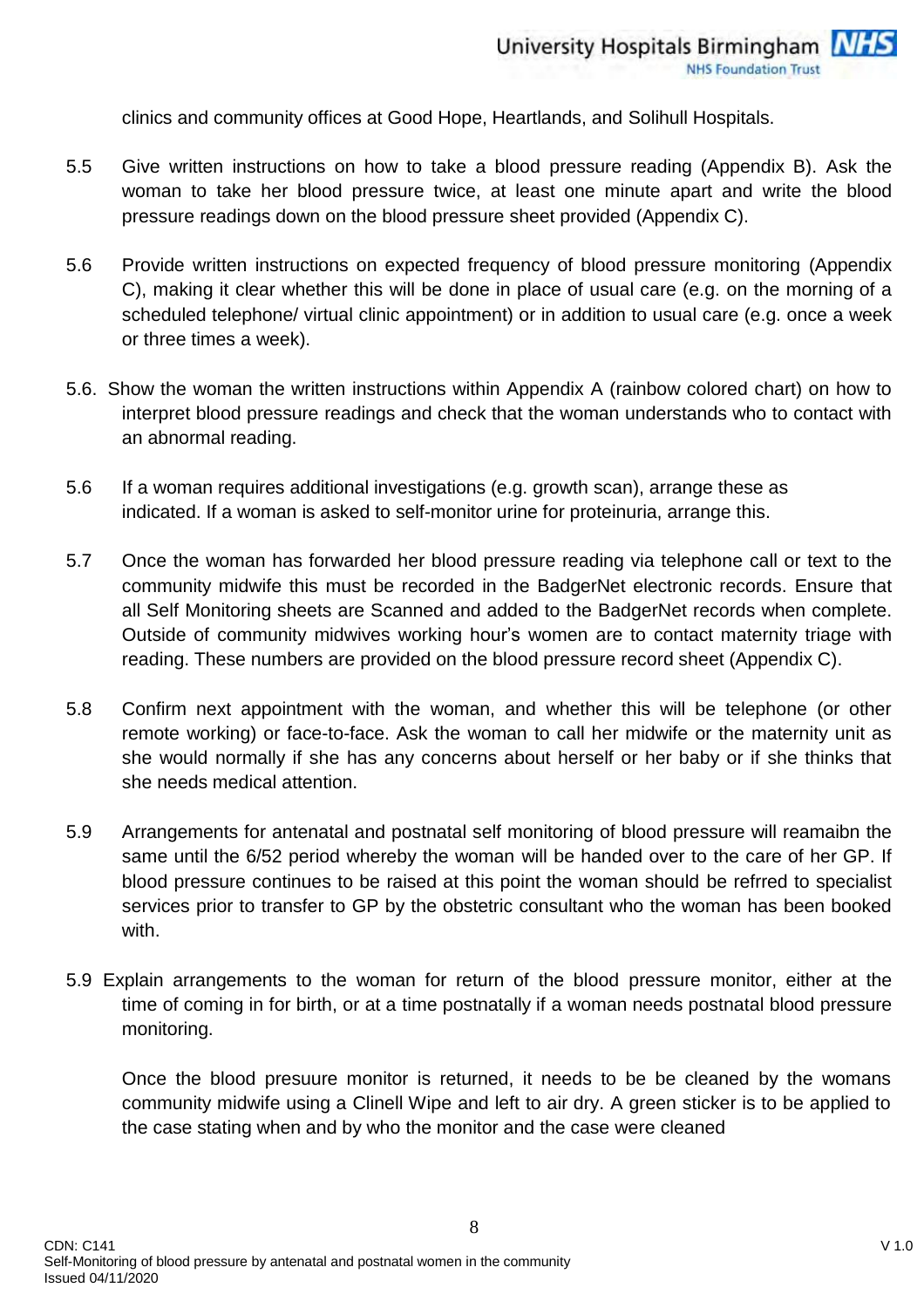clinics and community offices at Good Hope, Heartlands, and Solihull Hospitals.

- 5.5 Give written instructions on how to take a blood pressure reading (Appendix B). Ask the woman to take her blood pressure twice, at least one minute apart and write the blood pressure readings down on the blood pressure sheet provided (Appendix C).
- 5.6 Provide written instructions on expected frequency of blood pressure monitoring (Appendix C), making it clear whether this will be done in place of usual care (e.g. on the morning of a scheduled telephone/ virtual clinic appointment) or in addition to usual care (e.g. once a week or three times a week).
- 5.6. Show the woman the written instructions within Appendix A (rainbow colored chart) on how to interpret blood pressure readings and check that the woman understands who to contact with an abnormal reading.
- 5.6 If a woman requires additional investigations (e.g. growth scan), arrange these as indicated. If a woman is asked to self-monitor urine for proteinuria, arrange this.
- 5.7 Once the woman has forwarded her blood pressure reading via telephone call or text to the community midwife this must be recorded in the BadgerNet electronic records. Ensure that all Self Monitoring sheets are Scanned and added to the BadgerNet records when complete. Outside of community midwives working hour's women are to contact maternity triage with reading. These numbers are provided on the blood pressure record sheet (Appendix C).
- 5.8 Confirm next appointment with the woman, and whether this will be telephone (or other remote working) or face-to-face. Ask the woman to call her midwife or the maternity unit as she would normally if she has any concerns about herself or her baby or if she thinks that she needs medical attention.
- 5.9 Arrangements for antenatal and postnatal self monitoring of blood pressure will reamaibn the same until the 6/52 period whereby the woman will be handed over to the care of her GP. If blood pressure continues to be raised at this point the woman should be refrred to specialist services prior to transfer to GP by the obstetric consultant who the woman has been booked with.
- 5.9 Explain arrangements to the woman for return of the blood pressure monitor, either at the time of coming in for birth, or at a time postnatally if a woman needs postnatal blood pressure monitoring.

8

Once the blood presuure monitor is returned, it needs to be be cleaned by the womans community midwife using a Clinell Wipe and left to air dry. A green sticker is to be applied to the case stating when and by who the monitor and the case were cleaned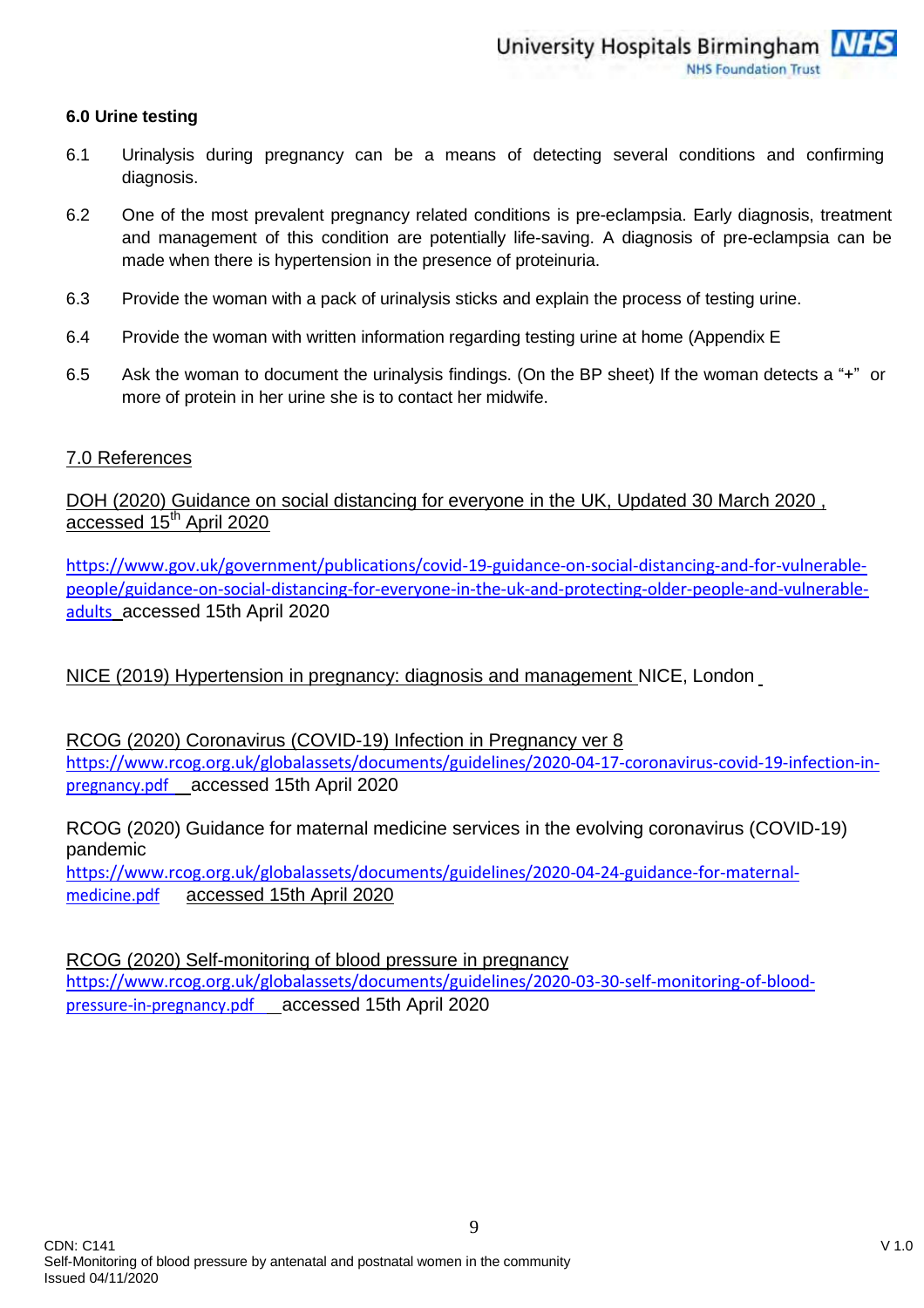#### **6.0 Urine testing**

- 6.1 Urinalysis during pregnancy can be a means of detecting several conditions and confirming diagnosis.
- 6.2 One of the most prevalent pregnancy related conditions is pre-eclampsia. Early diagnosis, treatment and management of this condition are potentially life-saving. A diagnosis of pre-eclampsia can be made when there is hypertension in the presence of proteinuria.
- 6.3 Provide the woman with a pack of urinalysis sticks and explain the process of testing urine.
- 6.4 Provide the woman with written information regarding testing urine at home (Appendix E
- 6.5 Ask the woman to document the urinalysis findings. (On the BP sheet) If the woman detects a "+" or more of protein in her urine she is to contact her midwife.

#### 7.0 References

DOH (2020) Guidance on social distancing for everyone in the UK, Updated 30 March 2020 , accessed 15<sup>th</sup> April 2020

[https://www.gov.uk/government/publications/covid-19-guidance-on-social-distancing-and-for-vulnerable](https://www.gov.uk/government/publications/covid-19-guidance-on-social-distancing-and-for-vulnerable-people/guidance-on-social-distancing-for-everyone-in-the-uk-and-protecting-older-people-and-vulnerable-adults)[people/guidance-on-social-distancing-for-everyone-in-the-uk-and-protecting-older-people-and-vulnerable](https://www.gov.uk/government/publications/covid-19-guidance-on-social-distancing-and-for-vulnerable-people/guidance-on-social-distancing-for-everyone-in-the-uk-and-protecting-older-people-and-vulnerable-adults)[adults](https://www.gov.uk/government/publications/covid-19-guidance-on-social-distancing-and-for-vulnerable-people/guidance-on-social-distancing-for-everyone-in-the-uk-and-protecting-older-people-and-vulnerable-adults) accessed 15th April 2020

## NICE (2019) Hypertension in pregnancy: diagnosis and management NICE, London

RCOG (2020) Coronavirus (COVID-19) Infection in Pregnancy ver 8 [https://www.rcog.org.uk/globalassets/documents/guidelines/2020-04-17-coronavirus-covid-19-infection-in](https://www.rcog.org.uk/globalassets/documents/guidelines/2020-04-17-coronavirus-covid-19-infection-in-pregnancy.pdf)[pregnancy.pdf](https://www.rcog.org.uk/globalassets/documents/guidelines/2020-04-17-coronavirus-covid-19-infection-in-pregnancy.pdf) accessed 15th April 2020

RCOG (2020) Guidance for maternal medicine services in the evolving coronavirus (COVID-19) pandemic

[https://www.rcog.org.uk/globalassets/documents/guidelines/2020-04-24-guidance-for-maternal](https://www.rcog.org.uk/globalassets/documents/guidelines/2020-04-24-guidance-for-maternal-medicine.pdf)[medicine.pdf](https://www.rcog.org.uk/globalassets/documents/guidelines/2020-04-24-guidance-for-maternal-medicine.pdf) accessed 15th April 2020

RCOG (2020) Self-monitoring of blood pressure in pregnancy [https://www.rcog.org.uk/globalassets/documents/guidelines/2020-03-30-self-monitoring-of-blood](https://www.rcog.org.uk/globalassets/documents/guidelines/2020-03-30-self-monitoring-of-blood-pressure-in-pregnancy.pdf)[pressure-in-pregnancy.pdf](https://www.rcog.org.uk/globalassets/documents/guidelines/2020-03-30-self-monitoring-of-blood-pressure-in-pregnancy.pdf) accessed 15th April 2020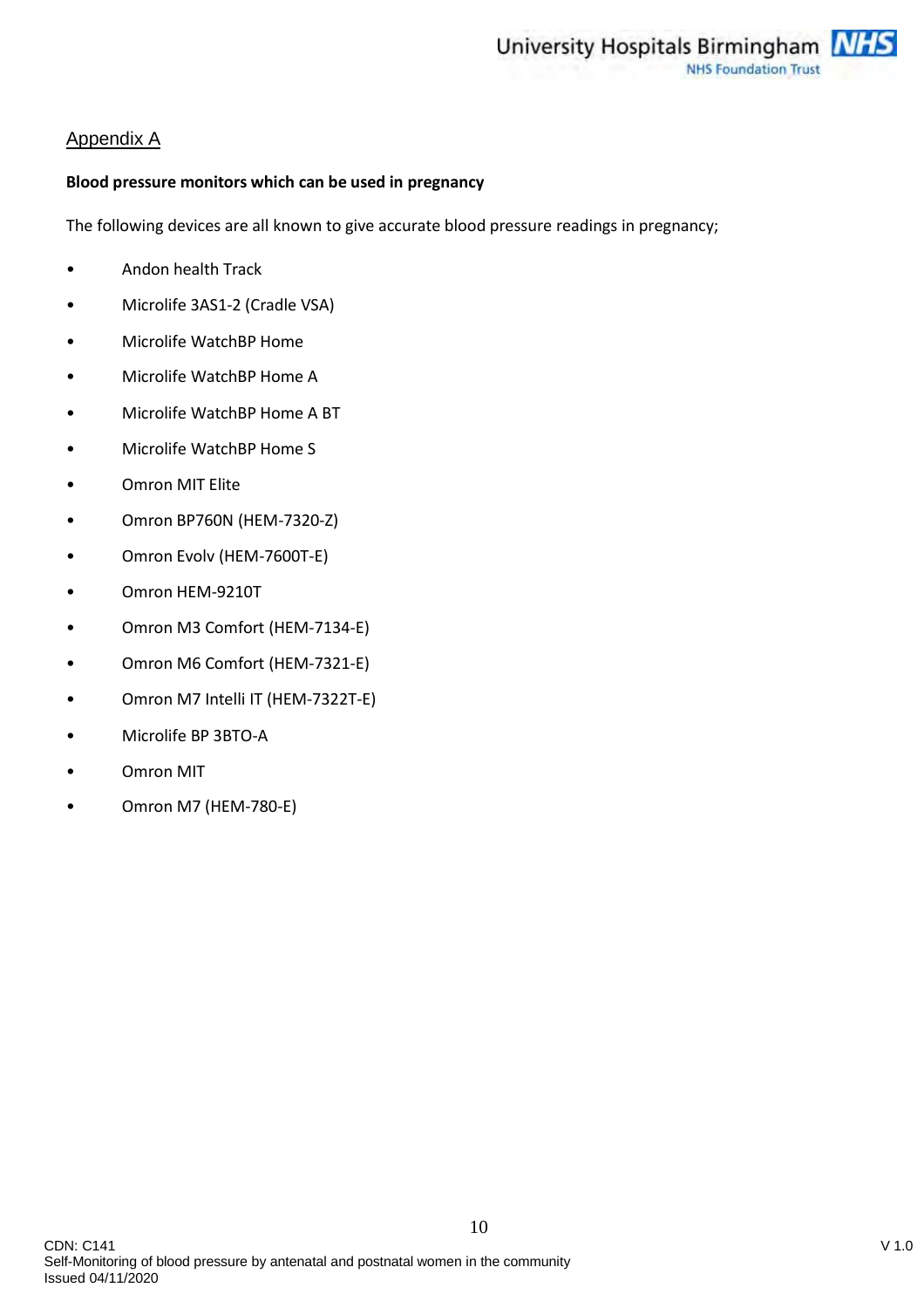## Appendix A

#### **Blood pressure monitors which can be used in pregnancy**

The following devices are all known to give accurate blood pressure readings in pregnancy;

- Andon health Track
- Microlife 3AS1-2 (Cradle VSA)
- Microlife WatchBP Home
- Microlife WatchBP Home A
- Microlife WatchBP Home A BT
- Microlife WatchBP Home S
- Omron MIT Elite
- Omron BP760N (HEM-7320-Z)
- Omron Evolv (HEM-7600T-E)
- Omron HEM-9210T
- Omron M3 Comfort (HEM-7134-E)
- Omron M6 Comfort (HEM-7321-E)
- Omron M7 Intelli IT (HEM-7322T-E)
- Microlife BP 3BTO-A
- Omron MIT
- Omron M7 (HEM-780-E)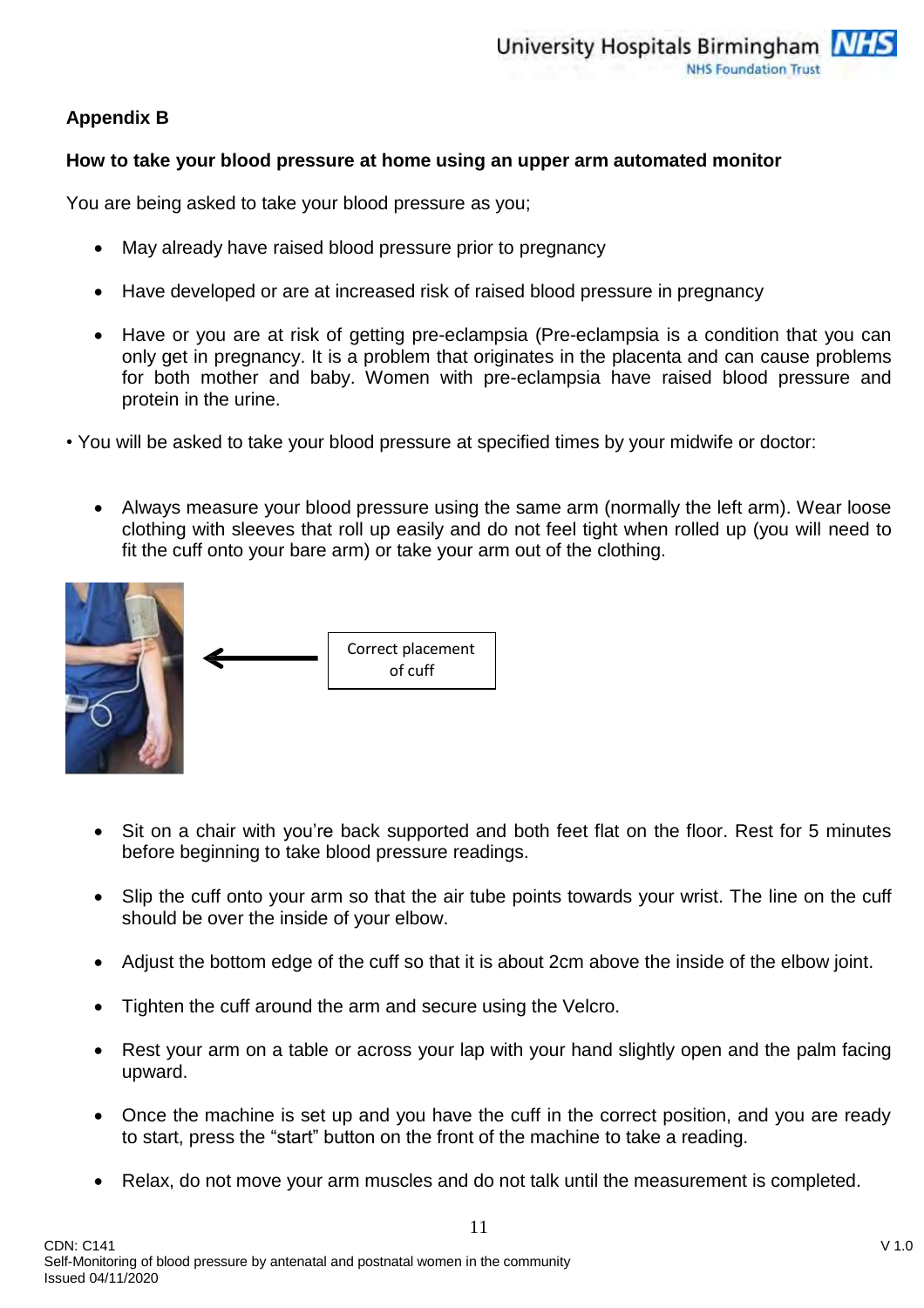## **Appendix B**

## **How to take your blood pressure at home using an upper arm automated monitor**

You are being asked to take your blood pressure as you;

- May already have raised blood pressure prior to pregnancy
- Have developed or are at increased risk of raised blood pressure in pregnancy
- Have or you are at risk of getting pre-eclampsia (Pre-eclampsia is a condition that you can only get in pregnancy. It is a problem that originates in the placenta and can cause problems for both mother and baby. Women with pre-eclampsia have raised blood pressure and protein in the urine.
- You will be asked to take your blood pressure at specified times by your midwife or doctor:
	- Always measure your blood pressure using the same arm (normally the left arm). Wear loose clothing with sleeves that roll up easily and do not feel tight when rolled up (you will need to fit the cuff onto your bare arm) or take your arm out of the clothing.



- Sit on a chair with you're back supported and both feet flat on the floor. Rest for 5 minutes before beginning to take blood pressure readings.
- Slip the cuff onto your arm so that the air tube points towards your wrist. The line on the cuff should be over the inside of your elbow.
- Adjust the bottom edge of the cuff so that it is about 2cm above the inside of the elbow joint.
- Tighten the cuff around the arm and secure using the Velcro.
- Rest your arm on a table or across your lap with your hand slightly open and the palm facing upward.
- Once the machine is set up and you have the cuff in the correct position, and you are ready to start, press the "start" button on the front of the machine to take a reading.
- Relax, do not move your arm muscles and do not talk until the measurement is completed.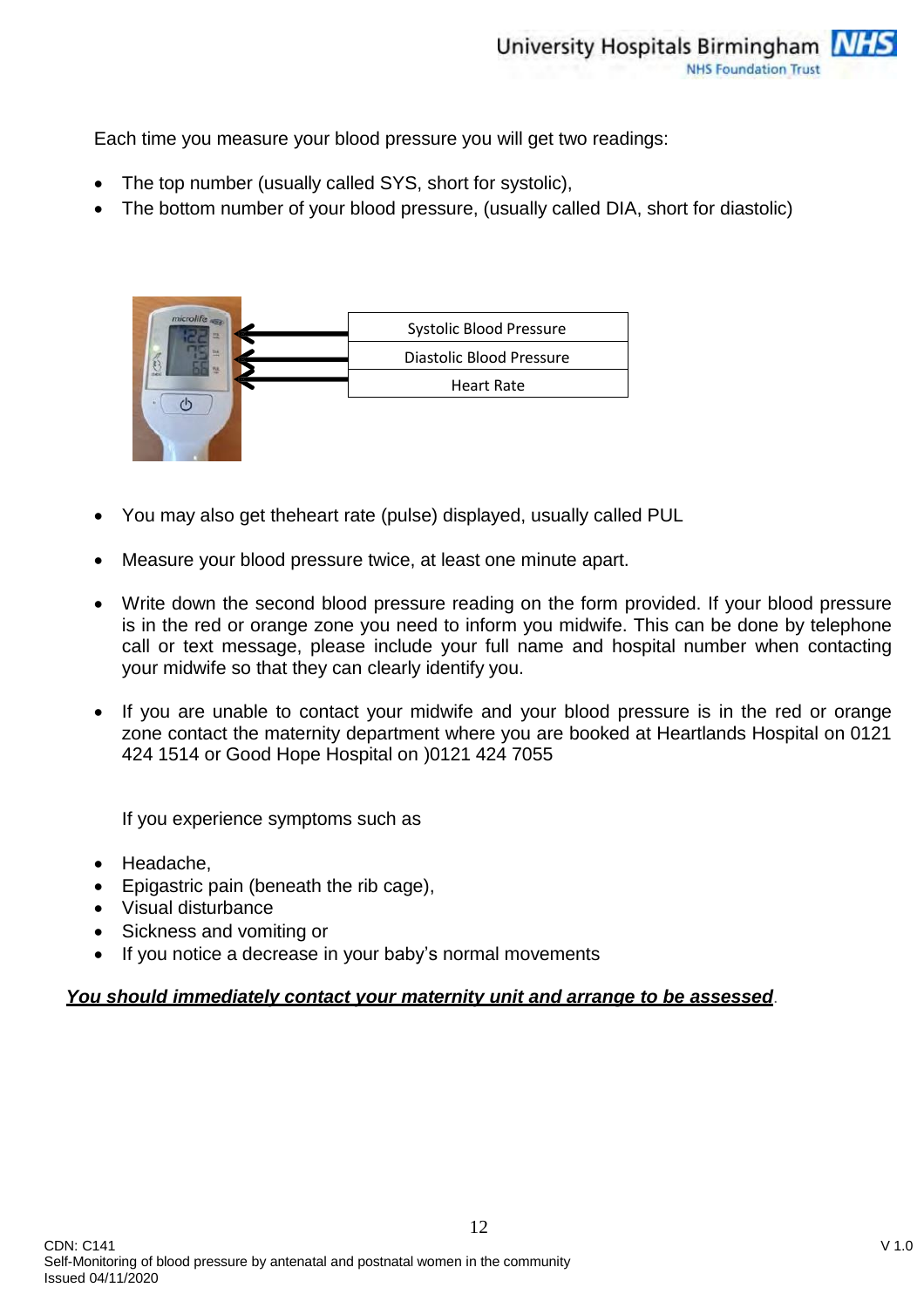Each time you measure your blood pressure you will get two readings:

- The top number (usually called SYS, short for systolic),
- The bottom number of your blood pressure, (usually called DIA, short for diastolic)



- You may also get theheart rate (pulse) displayed, usually called PUL
- Measure your blood pressure twice, at least one minute apart.
- Write down the second blood pressure reading on the form provided. If your blood pressure is in the red or orange zone you need to inform you midwife. This can be done by telephone call or text message, please include your full name and hospital number when contacting your midwife so that they can clearly identify you.
- If you are unable to contact your midwife and your blood pressure is in the red or orange zone contact the maternity department where you are booked at Heartlands Hospital on 0121 424 1514 or Good Hope Hospital on )0121 424 7055

If you experience symptoms such as

- Headache,
- Epigastric pain (beneath the rib cage),
- Visual disturbance
- Sickness and vomiting or
- If you notice a decrease in your baby's normal movements

#### *You should immediately contact your maternity unit and arrange to be assessed*.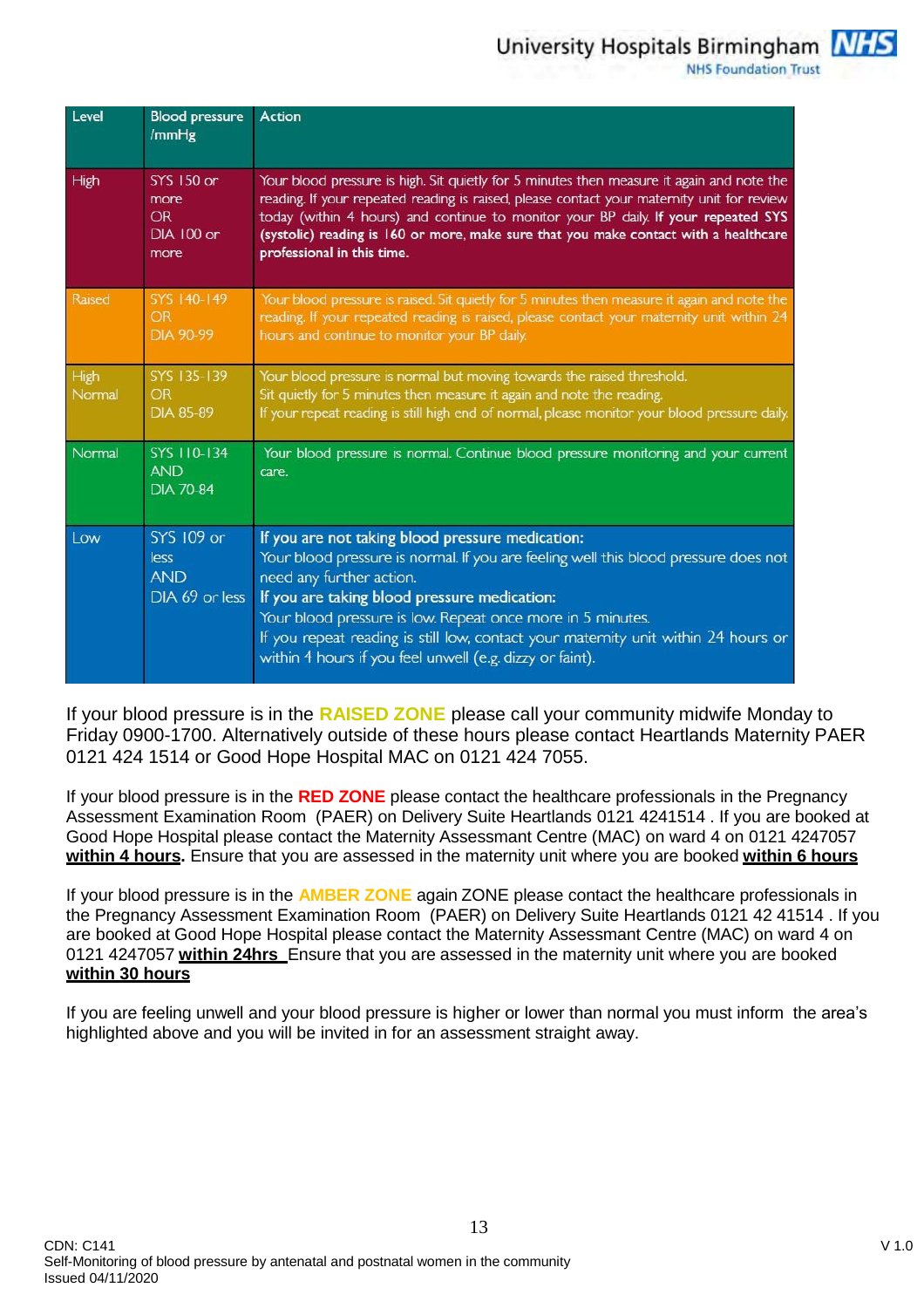University Hospitals Birmingham MHS

**NHS Foundation Trust** 

| Level          | <b>Blood pressure</b><br>/mmHg                               | Action                                                                                                                                                                                                                                                                                                                                                                                                                              |
|----------------|--------------------------------------------------------------|-------------------------------------------------------------------------------------------------------------------------------------------------------------------------------------------------------------------------------------------------------------------------------------------------------------------------------------------------------------------------------------------------------------------------------------|
| High           | <b>SYS 150 or</b><br>more<br><b>OR</b><br>DIA 100 or<br>more | Your blood pressure is high. Sit quietly for 5 minutes then measure it again and note the<br>reading. If your repeated reading is raised, please contact your maternity unit for review<br>today (within 4 hours) and continue to monitor your BP daily. If your repeated SYS<br>(systolic) reading is 160 or more, make sure that you make contact with a healthcare<br>professional in this time.                                 |
| Raised         | SYS 140-149<br><b>OR</b><br>DIA 90-99                        | Your blood pressure is raised. Sit quietly for 5 minutes then measure it again and note the<br>reading. If your repeated reading is raised, please contact your maternity unit within 24<br>hours and continue to monitor your BP daily.                                                                                                                                                                                            |
| High<br>Normal | SYS 135-139<br><b>OR</b><br><b>DIA 85-89</b>                 | Your blood pressure is normal but moving towards the raised threshold.<br>Sit quietly for 5 minutes then measure it again and note the reading.<br>If your repeat reading is still high end of normal, please monitor your blood pressure daily.                                                                                                                                                                                    |
| Normal         | SYS 110-134<br><b>AND</b><br><b>DIA 70-84</b>                | Your blood pressure is normal. Continue blood pressure monitoring and your current<br>care.                                                                                                                                                                                                                                                                                                                                         |
| Low            | SYS 109 or<br>less<br><b>AND</b><br>DIA 69 or less           | If you are not taking blood pressure medication:<br>Your blood pressure is normal. If you are feeling well this blood pressure does not<br>need any further action.<br>If you are taking blood pressure medication:<br>Your blood pressure is low. Repeat once more in 5 minutes.<br>If you repeat reading is still low, contact your maternity unit within 24 hours or<br>within 4 hours if you feel unwell (e.g. dizzy or faint). |

If your blood pressure is in the **RAISED ZONE** please call your community midwife Monday to Friday 0900-1700. Alternatively outside of these hours please contact Heartlands Maternity PAER 0121 424 1514 or Good Hope Hospital MAC on 0121 424 7055.

If your blood pressure is in the **RED ZONE** please contact the healthcare professionals in the Pregnancy Assessment Examination Room (PAER) on Delivery Suite Heartlands 0121 4241514 . If you are booked at Good Hope Hospital please contact the Maternity Assessmant Centre (MAC) on ward 4 on 0121 4247057 **within 4 hours.** Ensure that you are assessed in the maternity unit where you are booked **within 6 hours**

If your blood pressure is in the **AMBER ZONE** again ZONE please contact the healthcare professionals in the Pregnancy Assessment Examination Room (PAER) on Delivery Suite Heartlands 0121 42 41514 . If you are booked at Good Hope Hospital please contact the Maternity Assessmant Centre (MAC) on ward 4 on 0121 4247057 **within 24hrs** Ensure that you are assessed in the maternity unit where you are booked **within 30 hours**

If you are feeling unwell and your blood pressure is higher or lower than normal you must inform the area's highlighted above and you will be invited in for an assessment straight away.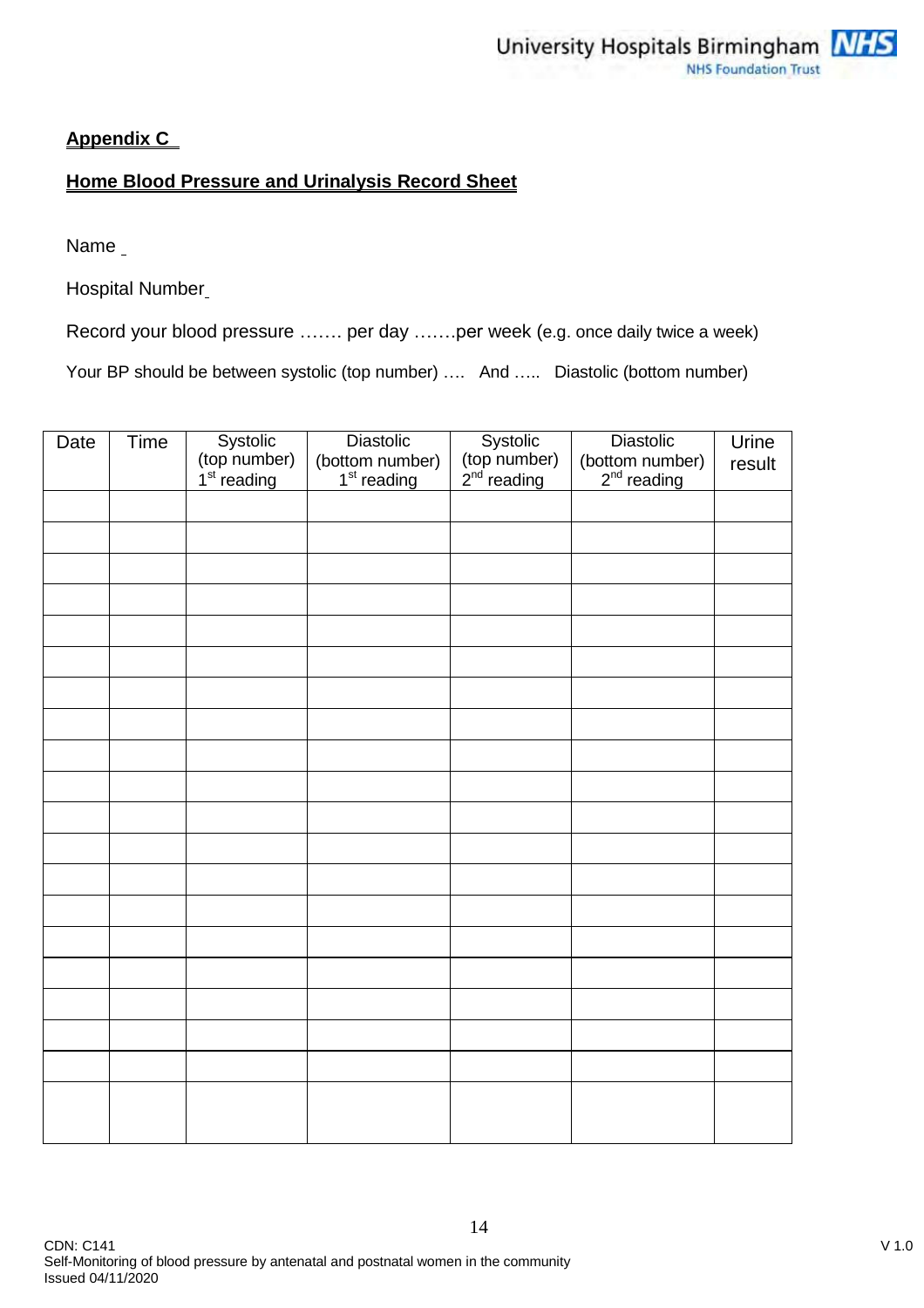## **Appendix C**

## **Home Blood Pressure and Urinalysis Record Sheet**

Name

Hospital Number

Record your blood pressure ……. per day …….per week (e.g. once daily twice a week)

Your BP should be between systolic (top number) .... And ..... Diastolic (bottom number)

| Date | Time | Systolic<br>(top number)<br>1 <sup>st</sup> reading | <b>Diastolic</b><br>(bottom number)<br>1 <sup>st</sup> reading | Systolic<br>(top number)<br>2 <sup>nd</sup> reading | Diastolic<br>(bottom number)<br>$2nd$ reading | Urine<br>result |
|------|------|-----------------------------------------------------|----------------------------------------------------------------|-----------------------------------------------------|-----------------------------------------------|-----------------|
|      |      |                                                     |                                                                |                                                     |                                               |                 |
|      |      |                                                     |                                                                |                                                     |                                               |                 |
|      |      |                                                     |                                                                |                                                     |                                               |                 |
|      |      |                                                     |                                                                |                                                     |                                               |                 |
|      |      |                                                     |                                                                |                                                     |                                               |                 |
|      |      |                                                     |                                                                |                                                     |                                               |                 |
|      |      |                                                     |                                                                |                                                     |                                               |                 |
|      |      |                                                     |                                                                |                                                     |                                               |                 |
|      |      |                                                     |                                                                |                                                     |                                               |                 |
|      |      |                                                     |                                                                |                                                     |                                               |                 |
|      |      |                                                     |                                                                |                                                     |                                               |                 |
|      |      |                                                     |                                                                |                                                     |                                               |                 |
|      |      |                                                     |                                                                |                                                     |                                               |                 |
|      |      |                                                     |                                                                |                                                     |                                               |                 |
|      |      |                                                     |                                                                |                                                     |                                               |                 |
|      |      |                                                     |                                                                |                                                     |                                               |                 |
|      |      |                                                     |                                                                |                                                     |                                               |                 |
|      |      |                                                     |                                                                |                                                     |                                               |                 |
|      |      |                                                     |                                                                |                                                     |                                               |                 |
|      |      |                                                     |                                                                |                                                     |                                               |                 |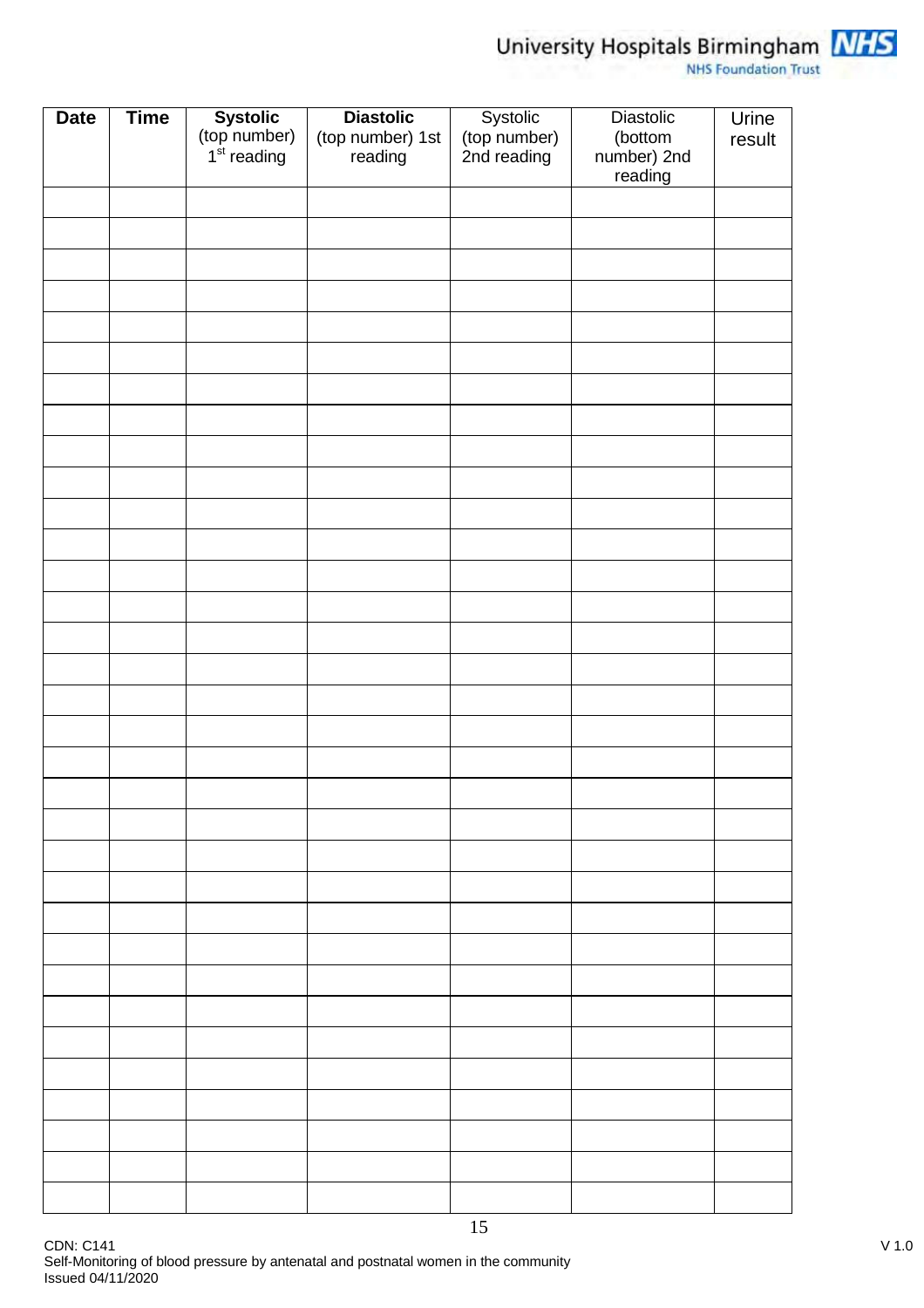

# University Hospitals Birmingham MHS

| <b>Date</b> | <b>Time</b> |                                                     | <b>Diastolic</b>            |                                         | Diastolic              | Urine  |
|-------------|-------------|-----------------------------------------------------|-----------------------------|-----------------------------------------|------------------------|--------|
|             |             | Systolic<br>(top number)<br>1 <sup>st</sup> reading | (top number) 1st<br>reading | Systolic<br>(top number)<br>2nd reading | (bottom<br>number) 2nd | result |
|             |             |                                                     |                             |                                         | reading                |        |
|             |             |                                                     |                             |                                         |                        |        |
|             |             |                                                     |                             |                                         |                        |        |
|             |             |                                                     |                             |                                         |                        |        |
|             |             |                                                     |                             |                                         |                        |        |
|             |             |                                                     |                             |                                         |                        |        |
|             |             |                                                     |                             |                                         |                        |        |
|             |             |                                                     |                             |                                         |                        |        |
|             |             |                                                     |                             |                                         |                        |        |
|             |             |                                                     |                             |                                         |                        |        |
|             |             |                                                     |                             |                                         |                        |        |
|             |             |                                                     |                             |                                         |                        |        |
|             |             |                                                     |                             |                                         |                        |        |
|             |             |                                                     |                             |                                         |                        |        |
|             |             |                                                     |                             |                                         |                        |        |
|             |             |                                                     |                             |                                         |                        |        |
|             |             |                                                     |                             |                                         |                        |        |
|             |             |                                                     |                             |                                         |                        |        |
|             |             |                                                     |                             |                                         |                        |        |
|             |             |                                                     |                             |                                         |                        |        |
|             |             |                                                     |                             |                                         |                        |        |
|             |             |                                                     |                             |                                         |                        |        |
|             |             |                                                     |                             |                                         |                        |        |
|             |             |                                                     |                             |                                         |                        |        |
|             |             |                                                     |                             |                                         |                        |        |
|             |             |                                                     |                             |                                         |                        |        |
|             |             |                                                     |                             |                                         |                        |        |
|             |             |                                                     |                             |                                         |                        |        |
|             |             |                                                     |                             |                                         |                        |        |
|             |             |                                                     |                             |                                         |                        |        |
|             |             |                                                     |                             |                                         |                        |        |
|             |             |                                                     |                             |                                         |                        |        |
|             |             |                                                     |                             | 15                                      |                        |        |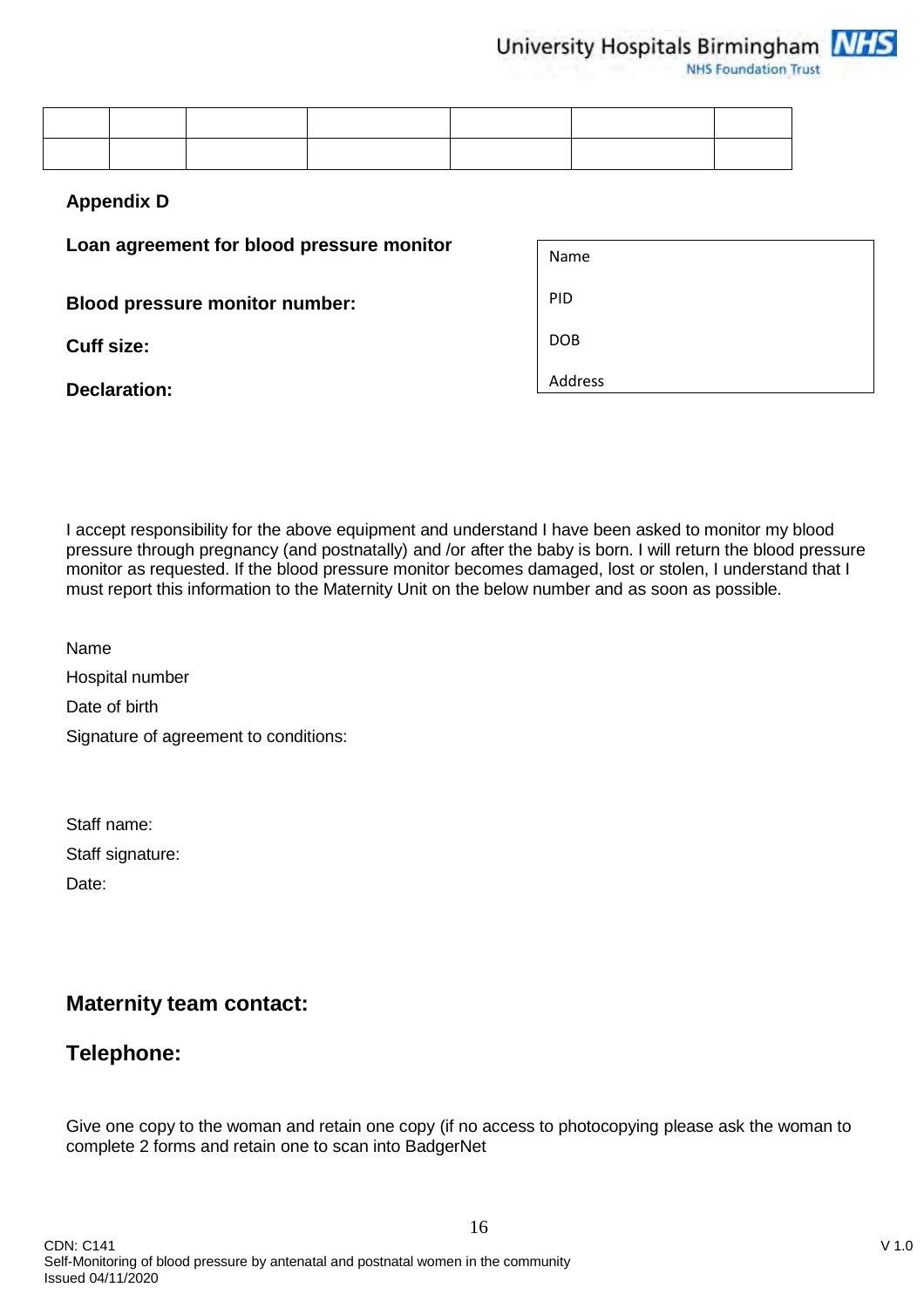University Hospitals Birmingham NHS

**NHS Foundation Trust** 

#### **Appendix D**

**Loan agreement for blood pressure monitor**

**Blood pressure monitor number:**

**Cuff size:**

**Declaration:**

| Name       |  |
|------------|--|
| PID        |  |
| <b>DOB</b> |  |
| Address    |  |

I accept responsibility for the above equipment and understand I have been asked to monitor my blood pressure through pregnancy (and postnatally) and /or after the baby is born. I will return the blood pressure monitor as requested. If the blood pressure monitor becomes damaged, lost or stolen, I understand that I must report this information to the Maternity Unit on the below number and as soon as possible.

Name Hospital number Date of birth Signature of agreement to conditions:

Staff name: Staff signature: Date:

# **Maternity team contact:**

# **Telephone:**

Give one copy to the woman and retain one copy (if no access to photocopying please ask the woman to complete 2 forms and retain one to scan into BadgerNet